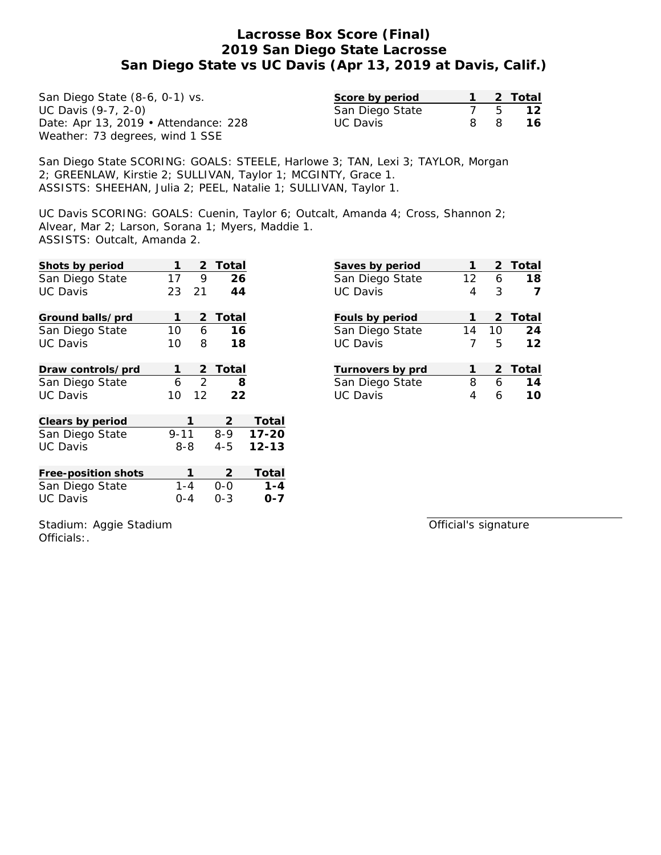| San Diego State (8-6, 0-1) vs.       | Score by period |    |                | 2 Total |
|--------------------------------------|-----------------|----|----------------|---------|
| UC Davis (9-7, 2-0)                  | San Diego State |    | $\overline{5}$ | 12      |
| Date: Apr 13, 2019 • Attendance: 228 | UC Davis        | 8. |                | 16.     |
| Weather: 73 degrees, wind 1 SSE      |                 |    |                |         |

San Diego State SCORING: GOALS: STEELE, Harlowe 3; TAN, Lexi 3; TAYLOR, Morgan 2; GREENLAW, Kirstie 2; SULLIVAN, Taylor 1; MCGINTY, Grace 1. ASSISTS: SHEEHAN, Julia 2; PEEL, Natalie 1; SULLIVAN, Taylor 1.

UC Davis SCORING: GOALS: Cuenin, Taylor 6; Outcalt, Amanda 4; Cross, Shannon 2; Alvear, Mar 2; Larson, Sorana 1; Myers, Maddie 1. ASSISTS: Outcalt, Amanda 2.

| Shots by period     |                 | 2               | Total                     |           |
|---------------------|-----------------|-----------------|---------------------------|-----------|
| San Diego State     | 17              | 9               | 26                        |           |
| <b>UC Davis</b>     | 23              | 21              | 44                        |           |
| Ground balls/prd    | 1               | 2               | Total                     |           |
| San Diego State     | 10 <sup>°</sup> | 6               | 16                        |           |
| <b>UC Davis</b>     | 10              | 8               | 18                        |           |
| Draw controls/prd   | 1               | $\overline{2}$  | Total                     |           |
| San Diego State     | 6               | 2               | 8                         |           |
| <b>UC Davis</b>     | 10              | 12 <sub>1</sub> | 22                        |           |
| Clears by period    |                 | 1               | $\mathbf{2}^{\mathsf{-}}$ | Total     |
| San Diego State     | $9 - 11$        |                 | $8 - 9$                   | $17 - 20$ |
| <b>UC Davis</b>     | 8-8             |                 | $4 - 5$                   | $12 - 13$ |
| Free-position shots |                 | 1               | 2                         | Total     |
| San Diego State     | $1 - 4$         |                 | 0-0                       | $1 - 4$   |
| <b>UC Davis</b>     | 0-4             |                 | $0 - 3$                   | $O - 7$   |

| Saves by period  |              |       | 2 Total |
|------------------|--------------|-------|---------|
| San Diego State  | 12           | 6     | 18      |
| <b>UC Davis</b>  | 4            | 3     |         |
| Fouls by period  |              |       | 2 Total |
| San Diego State  |              | 14 10 | 24      |
| UC Davis         | 7            | 5     | 12      |
| Turnovers by prd | $\mathbf{1}$ |       | 2 Total |
| San Diego State  | 8            | 6     | 14      |
| UC Davis         | 4            | 6     | 10      |
|                  |              |       |         |

Stadium: Aggie Stadium Officials:.

Official's signature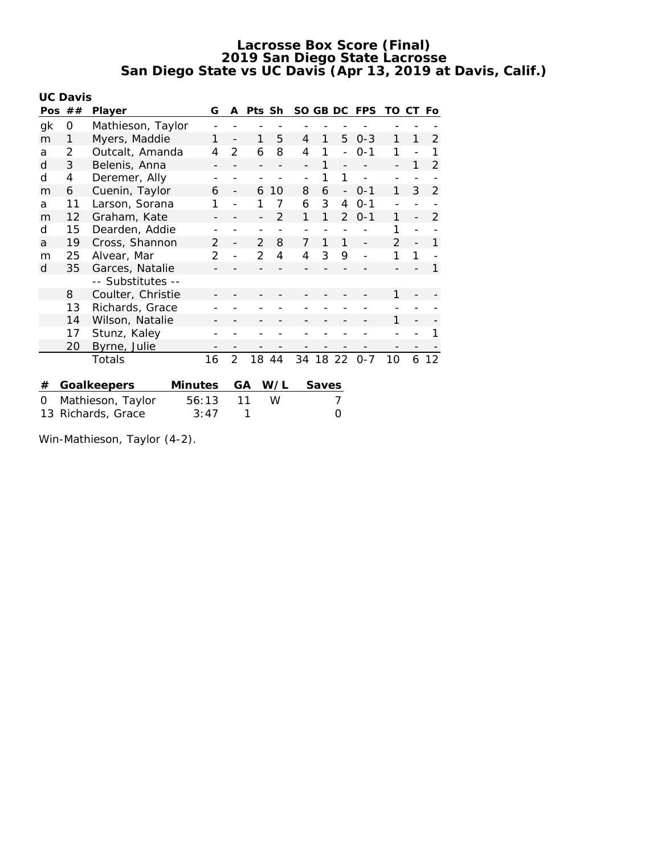|     | <b>UC Davis</b>         |                   |         |               |                |               |                |                |       |                          |            |               |                |                |
|-----|-------------------------|-------------------|---------|---------------|----------------|---------------|----------------|----------------|-------|--------------------------|------------|---------------|----------------|----------------|
| Pos | ##                      | G<br>Player       |         |               | A              | Pts Sh        |                | SO GB DC       |       |                          | <b>FPS</b> | TO            | CT             | Fo             |
| gk  | 0                       | Mathieson, Taylor |         |               |                |               |                |                |       |                          |            |               |                |                |
| m   | 1                       | Myers, Maddie     |         | 1             |                | 1             | 5              | 4              | 1     | 5                        | $0 - 3$    | 1             | 1              | 2              |
| a   | 2                       | Outcalt, Amanda   |         | 4             | 2              | 6             | 8              | $\overline{4}$ | 1     |                          | $0 - 1$    | 1             |                | 1              |
| d   | 3                       | Belenis, Anna     |         |               |                |               |                |                | 1     |                          |            | -             | 1              | 2              |
| d   | 4                       | Deremer, Ally     |         |               |                |               |                |                | 1     | 1                        |            |               |                |                |
| m   | 6                       | Cuenin, Taylor    |         | 6             |                | 6             | 10             | 8              | 6     | $\overline{\phantom{a}}$ | $0 - 1$    | 1             | 3              | $\overline{2}$ |
| a   | 11                      | Larson, Sorana    |         |               |                |               | 7              | 6              | 3     | 4                        | $0 - 1$    |               |                |                |
| m   | 12                      | Graham, Kate      |         |               |                |               | $\mathfrak{D}$ | 1              | 1     | $\mathcal{P}$            | $0 - 1$    | 1             |                | $\mathcal{P}$  |
| d   | 15                      | Dearden, Addie    |         |               |                |               |                |                |       |                          |            | 1             |                |                |
| a   | 19                      | Cross, Shannon    |         | $\mathcal{P}$ |                | $\mathcal{P}$ | 8              | 7              | 1     | 1                        |            | $\mathcal{P}$ | $\overline{a}$ | 1              |
| m   | 25                      | Alvear, Mar       |         | 2             |                | $\mathcal{P}$ | 4              | 4              | 3     | 9                        |            | 1             | 1              |                |
| d   | 35                      | Garces, Natalie   |         |               |                |               |                |                |       |                          |            |               |                | 1              |
|     |                         | -- Substitutes -- |         |               |                |               |                |                |       |                          |            |               |                |                |
|     | 8                       | Coulter, Christie |         |               |                |               |                |                |       |                          |            | 1             |                |                |
|     | 13                      | Richards, Grace   |         |               |                |               |                |                |       |                          |            |               |                |                |
|     | 14                      | Wilson, Natalie   |         |               |                |               |                |                |       |                          |            | 1             |                |                |
|     | 17                      | Stunz, Kaley      |         |               |                |               |                |                |       |                          |            |               |                |                |
|     | 20                      | Byrne, Julie      |         |               |                |               |                |                |       |                          |            |               |                |                |
|     |                         | Totals            |         | 16            | $\overline{2}$ | 18            | 44             | 34             | 18    | 22                       | $0 - 7$    | 10            | 6              | 12             |
|     |                         |                   |         |               |                |               |                |                |       |                          |            |               |                |                |
| #   |                         | Goalkeepers       | Minutes |               |                | GА            | W/L            |                | Saves |                          |            |               |                |                |
| 0   |                         | Mathieson, Taylor | 56:13   |               |                | 11            | W              |                |       | 7                        |            |               |                |                |
| 13  | Richards, Grace<br>3:47 |                   |         |               | 1              |               |                |                | Ω     |                          |            |               |                |                |

Win-Mathieson, Taylor (4-2).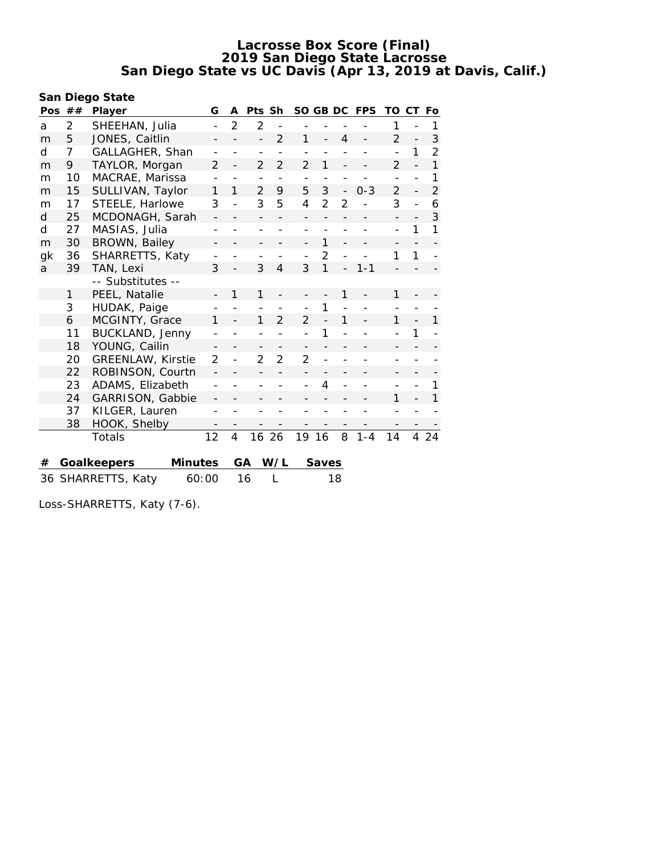| San Diego State |                |                               |                          |                |                |                          |                |                |   |            |                |    |                |
|-----------------|----------------|-------------------------------|--------------------------|----------------|----------------|--------------------------|----------------|----------------|---|------------|----------------|----|----------------|
|                 | Pos $##$       | Player                        | G                        | A              | Pts Sh         |                          |                | SO GB DC       |   | <b>FPS</b> | TO             | CТ | Fo             |
| a               | $\overline{2}$ | SHEEHAN, Julia                | $\overline{\phantom{a}}$ | $\overline{2}$ | $\overline{2}$ | $\overline{\phantom{a}}$ |                |                |   |            | 1              |    | 1              |
| m               | 5              | JONES, Caitlin                |                          |                |                | $\mathfrak{D}$           | 1              |                | 4 |            | $\overline{2}$ |    | 3              |
| d               | 7              | GALLAGHER, Shan               |                          |                |                |                          |                |                |   |            |                | 1  | $\overline{2}$ |
| m               | 9              | TAYLOR, Morgan                | $\overline{2}$           |                | $\overline{2}$ | $\overline{2}$           | $\overline{2}$ | 1              |   |            | 2              |    | $\mathbf{1}$   |
| m               | 10             | MACRAE, Marissa               |                          |                |                |                          |                |                |   |            |                |    | 1              |
| m               | 15             | SULLIVAN, Taylor              | 1                        | 1              | 2              | 9                        | 5              | 3              |   | $0 - 3$    | $\overline{2}$ |    | $\overline{2}$ |
| m               | 17             | STEELE, Harlowe               | 3                        |                | 3              | 5                        | 4              | $\overline{2}$ | 2 |            | 3              |    | 6              |
| d               | 25             | MCDONAGH, Sarah               |                          |                |                |                          |                |                |   |            |                |    | 3              |
| d               | 27             | MASIAS, Julia                 |                          |                |                |                          |                |                |   |            |                | 1  | 1              |
| m               | 30             | BROWN, Bailey                 |                          |                |                |                          |                | 1              |   |            |                |    |                |
| gk              | 36             | SHARRETTS, Katy               |                          |                |                |                          |                | $\overline{2}$ |   |            | 1              | 1  |                |
| a               | 39             | TAN, Lexi                     | 3                        |                | 3              | 4                        | 3              | 1              |   | $1 - 1$    |                |    |                |
|                 |                | -- Substitutes --             |                          |                |                |                          |                |                |   |            |                |    |                |
|                 | 1              | PEEL, Natalie                 |                          | 1              | 1              |                          |                |                | 1 |            | 1              |    |                |
|                 | 3              | HUDAK, Paige                  |                          |                |                |                          |                | 1              |   |            |                |    |                |
|                 | 6              | MCGINTY, Grace                | 1                        |                | 1              | $\mathcal{P}$            | $\mathfrak{D}$ |                | 1 |            |                |    | 1              |
|                 | 11             | BUCKLAND, Jenny               |                          |                |                |                          |                | 1              |   |            |                | 1  |                |
|                 | 18             | YOUNG, Cailin                 | $\qquad \qquad -$        |                | -              |                          |                |                |   |            |                |    |                |
|                 | 20             | <b>GREENLAW, Kirstie</b>      | $\mathcal{P}$            |                | $\overline{2}$ | $\overline{2}$           | $\overline{2}$ |                |   |            |                |    |                |
|                 | 22             | ROBINSON, Courtn              |                          |                |                |                          |                |                |   |            |                |    |                |
|                 | 23             | ADAMS, Elizabeth              |                          |                |                |                          | $\overline{a}$ | 4              |   |            |                |    | 1              |
|                 | 24             | GARRISON, Gabbie              |                          |                |                |                          |                |                |   |            | 1              |    | 1              |
|                 | 37             | KILGER, Lauren                |                          |                |                |                          |                |                |   |            |                |    |                |
|                 | 38             | HOOK, Shelby                  |                          |                |                |                          |                |                |   |            |                |    |                |
|                 |                | Totals                        | 12                       | $\overline{4}$ | 16             | -26                      | 19             | -16            | 8 | $1 - 4$    | 14             | 4  | 24             |
|                 |                |                               |                          |                |                |                          |                |                |   |            |                |    |                |
| #               |                | Goalkeepers<br><b>Minutes</b> |                          |                | GA             | W/L                      |                | Saves          |   |            |                |    |                |

36 SHARRETTS, Katy 60:00 16 L 18

Loss-SHARRETTS, Katy (7-6).